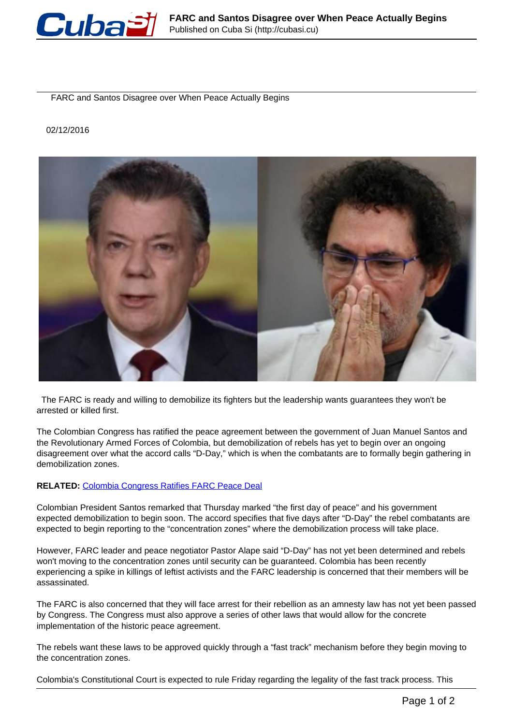

FARC and Santos Disagree over When Peace Actually Begins

## 02/12/2016



 The FARC is ready and willing to demobilize its fighters but the leadership wants guarantees they won't be arrested or killed first.

The Colombian Congress has ratified the peace agreement between the government of Juan Manuel Santos and the Revolutionary Armed Forces of Colombia, but demobilization of rebels has yet to begin over an ongoing disagreement over what the accord calls "D-Day," which is when the combatants are to formally begin gathering in demobilization zones.

## **RELATED:** [Colombia Congress Ratifies FARC Peace Deal](http://www.telesurtv.net/english/news/Colombia-Congress-Ratifies-FARC-Peace-Deal-Triggers-Next-Steps-20161130-0003.html)

Colombian President Santos remarked that Thursday marked "the first day of peace" and his government expected demobilization to begin soon. The accord specifies that five days after "D-Day" the rebel combatants are expected to begin reporting to the "concentration zones" where the demobilization process will take place.

However, FARC leader and peace negotiator Pastor Alape said "D-Day" has not yet been determined and rebels won't moving to the concentration zones until security can be guaranteed. Colombia has been recently experiencing a spike in killings of leftist activists and the FARC leadership is concerned that their members will be assassinated.

The FARC is also concerned that they will face arrest for their rebellion as an amnesty law has not yet been passed by Congress. The Congress must also approve a series of other laws that would allow for the concrete implementation of the historic peace agreement.

The rebels want these laws to be approved quickly through a "fast track" mechanism before they begin moving to the concentration zones.

Colombia's Constitutional Court is expected to rule Friday regarding the legality of the fast track process. This